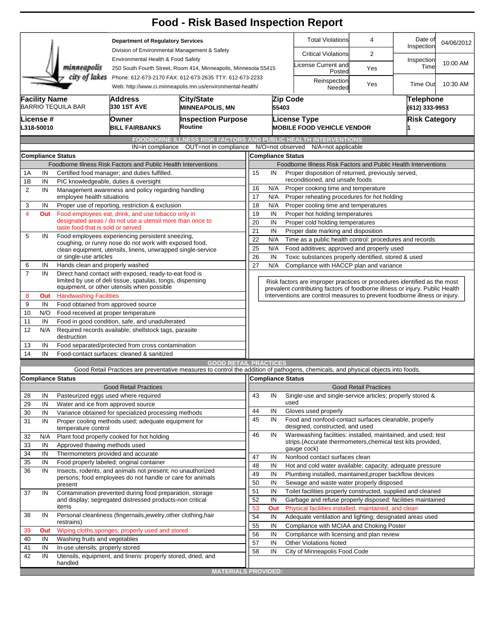|                      |                                |                                                                                                                                                                           |                                                                                                                                                                                                    | <b>Food - Risk Based Inspection Report</b>                                                                                        |                                                                                                              |                                                                      |      |                                                                                                                                                            |                              |                       |                                    |  |  |
|----------------------|--------------------------------|---------------------------------------------------------------------------------------------------------------------------------------------------------------------------|----------------------------------------------------------------------------------------------------------------------------------------------------------------------------------------------------|-----------------------------------------------------------------------------------------------------------------------------------|--------------------------------------------------------------------------------------------------------------|----------------------------------------------------------------------|------|------------------------------------------------------------------------------------------------------------------------------------------------------------|------------------------------|-----------------------|------------------------------------|--|--|
|                      |                                |                                                                                                                                                                           | <b>Department of Regulatory Services</b><br>Division of Environmental Management & Safety<br>Environmental Health & Food Safety<br>250 South Fourth Street, Room 414, Minneapolis, Minnesota 55415 |                                                                                                                                   |                                                                                                              |                                                                      |      | <b>Total Violations</b>                                                                                                                                    | 4                            | Date of<br>Inspection | 04/06/2012                         |  |  |
|                      |                                |                                                                                                                                                                           |                                                                                                                                                                                                    |                                                                                                                                   |                                                                                                              |                                                                      |      | <b>Critical Violations</b>                                                                                                                                 | $\overline{2}$               |                       |                                    |  |  |
|                      |                                | minneapolis                                                                                                                                                               |                                                                                                                                                                                                    |                                                                                                                                   |                                                                                                              |                                                                      |      | icense Current and<br>Posted                                                                                                                               | Yes                          | Inspection<br>Time    | 10:00 AM                           |  |  |
|                      |                                | city of lakes                                                                                                                                                             | Phone: 612-673-2170 FAX: 612-673-2635 TTY: 612-673-2233<br>Web: http://www.ci.minneapolis.mn.us/environmental-health/                                                                              |                                                                                                                                   |                                                                                                              |                                                                      |      | Reinspection<br>Needed                                                                                                                                     | Yes                          | Time Out              | 10:30 AM                           |  |  |
| <b>Facility Name</b> |                                | <b>BARRIO TEQUILA BAR</b>                                                                                                                                                 | <b>Address</b><br> City/State<br>330 1ST AVE<br><b>MINNEAPOLIS, MN</b>                                                                                                                             |                                                                                                                                   |                                                                                                              | Zip Code<br>55403                                                    |      |                                                                                                                                                            |                              |                       | <b>Telephone</b><br>(612) 333-9953 |  |  |
|                      | <b>License</b> #<br>L318-50010 |                                                                                                                                                                           | Owner<br><b>BILL FAIRBANKS</b>                                                                                                                                                                     | <b>Inspection Purpose</b><br>Routine                                                                                              |                                                                                                              |                                                                      |      | <b>License Type</b><br><b>MOBILE FOOD VEHICLE VENDOR</b>                                                                                                   |                              | <b>Risk Category</b>  |                                    |  |  |
|                      |                                |                                                                                                                                                                           |                                                                                                                                                                                                    | <b>FOODBORNE ILLNESS RISK FACTORS AND PUBLIC HEALTH INTERVENTIONS</b>                                                             |                                                                                                              |                                                                      |      |                                                                                                                                                            |                              |                       |                                    |  |  |
|                      |                                |                                                                                                                                                                           | IN=in compliance                                                                                                                                                                                   | OUT=not in compliance                                                                                                             |                                                                                                              | N/O=not observed                                                     |      | N/A=not applicable                                                                                                                                         |                              |                       |                                    |  |  |
|                      |                                | <b>Compliance Status</b>                                                                                                                                                  |                                                                                                                                                                                                    |                                                                                                                                   |                                                                                                              | <b>Compliance Status</b>                                             |      |                                                                                                                                                            |                              |                       |                                    |  |  |
|                      |                                |                                                                                                                                                                           | Foodborne Illness Risk Factors and Public Health Interventions                                                                                                                                     |                                                                                                                                   |                                                                                                              |                                                                      |      | Foodborne Illness Risk Factors and Public Health Interventions                                                                                             |                              |                       |                                    |  |  |
| 1Α                   | IN                             |                                                                                                                                                                           | Certified food manager; and duties fulfilled.                                                                                                                                                      |                                                                                                                                   | 15                                                                                                           | IN                                                                   |      | Proper disposition of returned, previously served,                                                                                                         |                              |                       |                                    |  |  |
| 1B                   | IN                             |                                                                                                                                                                           | PIC knowledgeable, duties & oversight                                                                                                                                                              |                                                                                                                                   | reconditioned, and unsafe foods                                                                              |                                                                      |      |                                                                                                                                                            |                              |                       |                                    |  |  |
| $\overline{2}$       | IN                             | employee health situations                                                                                                                                                | Management awareness and policy regarding handling                                                                                                                                                 |                                                                                                                                   | N/A<br>16<br>Proper cooking time and temperature<br>17<br>N/A<br>Proper reheating procedures for hot holding |                                                                      |      |                                                                                                                                                            |                              |                       |                                    |  |  |
| 3                    | IN                             |                                                                                                                                                                           | Proper use of reporting, restriction & exclusion                                                                                                                                                   |                                                                                                                                   | 18                                                                                                           | N/A                                                                  |      | Proper cooling time and temperatures                                                                                                                       |                              |                       |                                    |  |  |
| 4                    | Out                            |                                                                                                                                                                           | Food employees eat, drink, and use tobacco only in                                                                                                                                                 |                                                                                                                                   | 19<br>IN<br>Proper hot holding temperatures                                                                  |                                                                      |      |                                                                                                                                                            |                              |                       |                                    |  |  |
|                      |                                |                                                                                                                                                                           | designated areas / do not use a utensil more than once to                                                                                                                                          |                                                                                                                                   |                                                                                                              | 20<br>IN<br>Proper cold holding temperatures                         |      |                                                                                                                                                            |                              |                       |                                    |  |  |
|                      |                                | taste food that is sold or served                                                                                                                                         |                                                                                                                                                                                                    |                                                                                                                                   |                                                                                                              | 21<br>IN<br>Proper date marking and disposition                      |      |                                                                                                                                                            |                              |                       |                                    |  |  |
| 5                    | IN                             | Food employees experiencing persistent sneezing,<br>coughing, or runny nose do not work with exposed food,<br>clean equipment, utensils, linens, unwrapped single-service |                                                                                                                                                                                                    |                                                                                                                                   |                                                                                                              | 22<br>Time as a public health control: procedures and records<br>N/A |      |                                                                                                                                                            |                              |                       |                                    |  |  |
|                      |                                |                                                                                                                                                                           |                                                                                                                                                                                                    |                                                                                                                                   |                                                                                                              | 25<br>N/A<br>Food additives; approved and properly used              |      |                                                                                                                                                            |                              |                       |                                    |  |  |
|                      | or single-use articles         |                                                                                                                                                                           |                                                                                                                                                                                                    |                                                                                                                                   |                                                                                                              | 26<br>IN<br>Toxic substances properly identified, stored & used      |      |                                                                                                                                                            |                              |                       |                                    |  |  |
| 6                    | IN                             | Hands clean and properly washed                                                                                                                                           |                                                                                                                                                                                                    |                                                                                                                                   | 27<br>N/A<br>Compliance with HACCP plan and variance                                                         |                                                                      |      |                                                                                                                                                            |                              |                       |                                    |  |  |
| $\overline{7}$       | IN                             |                                                                                                                                                                           | Direct hand contact with exposed, ready-to-eat food is<br>limited by use of deli tissue, spatulas, tongs, dispensing                                                                               |                                                                                                                                   |                                                                                                              |                                                                      |      | Risk factors are improper practices or procedures identified as the most                                                                                   |                              |                       |                                    |  |  |
| 8                    | Out                            | <b>Handwashing Facilities</b>                                                                                                                                             | equipment, or other utensils when possible                                                                                                                                                         |                                                                                                                                   |                                                                                                              |                                                                      |      | prevalent contributing factors of foodborne illness or injury. Public Health<br>Interventions are control measures to prevent foodborne illness or injury. |                              |                       |                                    |  |  |
| 9                    | IN                             |                                                                                                                                                                           | Food obtained from approved source                                                                                                                                                                 |                                                                                                                                   |                                                                                                              |                                                                      |      |                                                                                                                                                            |                              |                       |                                    |  |  |
| 10                   | N/O                            | Food received at proper temperature                                                                                                                                       |                                                                                                                                                                                                    |                                                                                                                                   |                                                                                                              |                                                                      |      |                                                                                                                                                            |                              |                       |                                    |  |  |
| 11                   | IN                             | Food in good condition, safe, and unadulterated                                                                                                                           |                                                                                                                                                                                                    |                                                                                                                                   |                                                                                                              |                                                                      |      |                                                                                                                                                            |                              |                       |                                    |  |  |
| 12                   | N/A                            | Required records available; shellstock tags, parasite<br>destruction                                                                                                      |                                                                                                                                                                                                    |                                                                                                                                   |                                                                                                              |                                                                      |      |                                                                                                                                                            |                              |                       |                                    |  |  |
| 13                   | IN                             |                                                                                                                                                                           | Food separated/protected from cross contamination                                                                                                                                                  |                                                                                                                                   |                                                                                                              |                                                                      |      |                                                                                                                                                            |                              |                       |                                    |  |  |
| 14                   | IN                             |                                                                                                                                                                           | Food-contact surfaces: cleaned & sanitized                                                                                                                                                         |                                                                                                                                   |                                                                                                              |                                                                      |      |                                                                                                                                                            |                              |                       |                                    |  |  |
|                      |                                |                                                                                                                                                                           |                                                                                                                                                                                                    | <b>GOOD RETAIL PRACTICES</b>                                                                                                      |                                                                                                              |                                                                      |      |                                                                                                                                                            |                              |                       |                                    |  |  |
|                      |                                |                                                                                                                                                                           |                                                                                                                                                                                                    | Good Retail Practices are preventative measures to control the addition of pathogens, chemicals, and physical objects into foods. |                                                                                                              |                                                                      |      |                                                                                                                                                            |                              |                       |                                    |  |  |
|                      |                                | <b>Compliance Status</b>                                                                                                                                                  |                                                                                                                                                                                                    |                                                                                                                                   |                                                                                                              |                                                                      |      | Compliance Status                                                                                                                                          |                              |                       |                                    |  |  |
|                      |                                |                                                                                                                                                                           | <b>Good Retail Practices</b>                                                                                                                                                                       |                                                                                                                                   |                                                                                                              |                                                                      |      |                                                                                                                                                            | <b>Good Retail Practices</b> |                       |                                    |  |  |
| 28                   | IN                             |                                                                                                                                                                           | Pasteurized eggs used where required                                                                                                                                                               |                                                                                                                                   | 43                                                                                                           | IN                                                                   | used | Single-use and single-service articles; properly stored &                                                                                                  |                              |                       |                                    |  |  |
| 29                   | IN                             | Water and ice from approved source                                                                                                                                        |                                                                                                                                                                                                    |                                                                                                                                   | 44                                                                                                           | IN                                                                   |      | Gloves used properly                                                                                                                                       |                              |                       |                                    |  |  |
| 30<br>31             | IN<br>IN                       |                                                                                                                                                                           | Variance obtained for specialized processing methods<br>Proper cooling methods used; adequate equipment for                                                                                        |                                                                                                                                   | 45                                                                                                           | IN                                                                   |      | Food and nonfood-contact surfaces cleanable, properly                                                                                                      |                              |                       |                                    |  |  |
|                      |                                | temperature control                                                                                                                                                       |                                                                                                                                                                                                    |                                                                                                                                   |                                                                                                              |                                                                      |      | designed, constructed, and used                                                                                                                            |                              |                       |                                    |  |  |
| 32                   | N/A                            |                                                                                                                                                                           | Plant food properly cooked for hot holding                                                                                                                                                         |                                                                                                                                   | 46                                                                                                           | IN                                                                   |      | Warewashing facilities: installed, maintained, and used; test                                                                                              |                              |                       |                                    |  |  |
| 33                   | IN                             | Approved thawing methods used                                                                                                                                             |                                                                                                                                                                                                    |                                                                                                                                   |                                                                                                              |                                                                      |      | strips.(Accurate thermometers, chemical test kits provided,<br>gauge cock)                                                                                 |                              |                       |                                    |  |  |
| 34                   | IN                             | Thermometers provided and accurate                                                                                                                                        |                                                                                                                                                                                                    |                                                                                                                                   | 47                                                                                                           | IN                                                                   |      | Nonfood contact surfaces clean                                                                                                                             |                              |                       |                                    |  |  |
| 35                   | IN                             |                                                                                                                                                                           | Food properly labeled; original container                                                                                                                                                          |                                                                                                                                   | 48                                                                                                           | IN                                                                   |      | Hot and cold water available; capacity; adequate pressure                                                                                                  |                              |                       |                                    |  |  |
| 36                   | IN                             |                                                                                                                                                                           | Insects, rodents, and animals not present; no unauthorized                                                                                                                                         |                                                                                                                                   | 49                                                                                                           | IN                                                                   |      | Plumbing installed, maintained, proper backflow devices                                                                                                    |                              |                       |                                    |  |  |
|                      |                                | persons; food employees do not handle or care for animals<br>present                                                                                                      |                                                                                                                                                                                                    |                                                                                                                                   |                                                                                                              | IN                                                                   |      | Sewage and waste water properly disposed                                                                                                                   |                              |                       |                                    |  |  |
| 37                   | IN                             |                                                                                                                                                                           | Contamination prevented during food preparation, storage                                                                                                                                           |                                                                                                                                   | 50<br>51                                                                                                     | IN                                                                   |      | Toilet facilities properly constructed, supplied and cleaned                                                                                               |                              |                       |                                    |  |  |
|                      |                                |                                                                                                                                                                           | and display; segregated distressed products-non critical                                                                                                                                           |                                                                                                                                   | 52                                                                                                           | IN                                                                   |      | Garbage and refuse properly disposed: facilities maintained                                                                                                |                              |                       |                                    |  |  |
|                      |                                | items                                                                                                                                                                     |                                                                                                                                                                                                    |                                                                                                                                   | 53                                                                                                           | Out                                                                  |      | Physical facilities installed, maintained, and clean                                                                                                       |                              |                       |                                    |  |  |
| 38                   | IN                             |                                                                                                                                                                           | Personal cleanliness (fingernails, jewelry, other clothing, hair                                                                                                                                   |                                                                                                                                   | 54                                                                                                           | IN                                                                   |      | Adequate ventilation and lighting; designated areas used                                                                                                   |                              |                       |                                    |  |  |
|                      |                                | restrains)                                                                                                                                                                |                                                                                                                                                                                                    |                                                                                                                                   | 55                                                                                                           | IN                                                                   |      | Compliance with MCIAA and Choking Poster                                                                                                                   |                              |                       |                                    |  |  |
| 39<br>40             | Out<br>IN                      | Washing fruits and vegetables                                                                                                                                             | Wiping cloths, sponges; properly used and stored                                                                                                                                                   |                                                                                                                                   | 56                                                                                                           | IN                                                                   |      | Compliance with licensing and plan review                                                                                                                  |                              |                       |                                    |  |  |
| 41                   | IN                             | In-use utensils; properly stored                                                                                                                                          |                                                                                                                                                                                                    |                                                                                                                                   | 57                                                                                                           | IN                                                                   |      | <b>Other Violations Noted</b>                                                                                                                              |                              |                       |                                    |  |  |
| 42                   | IN                             |                                                                                                                                                                           | Utensils, equipment, and linens: properly stored, dried, and                                                                                                                                       |                                                                                                                                   | 58                                                                                                           | IN                                                                   |      | City of Minneapolis Food Code                                                                                                                              |                              |                       |                                    |  |  |
|                      |                                | handled                                                                                                                                                                   |                                                                                                                                                                                                    |                                                                                                                                   |                                                                                                              |                                                                      |      |                                                                                                                                                            |                              |                       |                                    |  |  |
|                      |                                |                                                                                                                                                                           |                                                                                                                                                                                                    | <b>MATERIALS PROVIDED:</b>                                                                                                        |                                                                                                              |                                                                      |      |                                                                                                                                                            |                              |                       |                                    |  |  |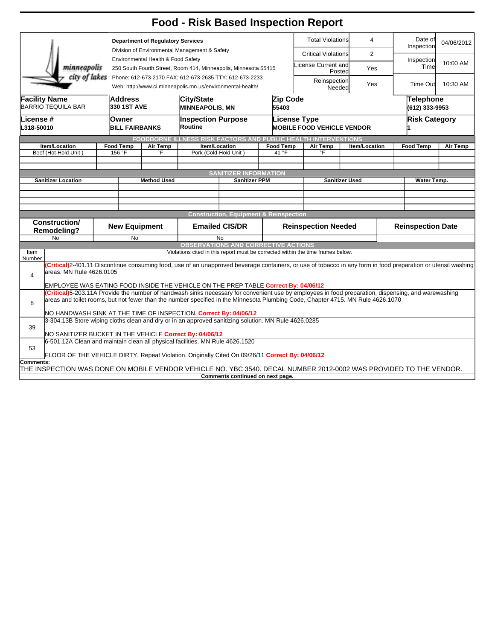|                                                                                                                   |                                                                                                                                                                                                                                                                                       |                                                                                                       |                                                           | <b>Food - Risk Based Inspection Report</b>                                                                            |                                                   |                                   |                                              |                               |                      |                             |                      |          |  |
|-------------------------------------------------------------------------------------------------------------------|---------------------------------------------------------------------------------------------------------------------------------------------------------------------------------------------------------------------------------------------------------------------------------------|-------------------------------------------------------------------------------------------------------|-----------------------------------------------------------|-----------------------------------------------------------------------------------------------------------------------|---------------------------------------------------|-----------------------------------|----------------------------------------------|-------------------------------|----------------------|-----------------------------|----------------------|----------|--|
|                                                                                                                   | <b>Department of Regulatory Services</b>                                                                                                                                                                                                                                              |                                                                                                       |                                                           |                                                                                                                       | <b>Total Violations</b><br>4                      |                                   |                                              | Date of<br>Inspection         | 04/06/2012           |                             |                      |          |  |
|                                                                                                                   | Division of Environmental Management & Safety                                                                                                                                                                                                                                         |                                                                                                       |                                                           |                                                                                                                       |                                                   |                                   | <b>Critical Violations</b><br>$\overline{2}$ |                               |                      |                             |                      |          |  |
| minneapolis                                                                                                       |                                                                                                                                                                                                                                                                                       | Environmental Health & Food Safety<br>250 South Fourth Street, Room 414, Minneapolis, Minnesota 55415 |                                                           |                                                                                                                       |                                                   |                                   | License Current and<br>Yes<br>Posted         |                               |                      | Inspection<br>Time          | 10:00 AM             |          |  |
| city of lakes                                                                                                     |                                                                                                                                                                                                                                                                                       |                                                                                                       |                                                           | Phone: 612-673-2170 FAX: 612-673-2635 TTY: 612-673-2233<br>Web: http://www.ci.minneapolis.mn.us/environmental-health/ |                                                   |                                   |                                              | Reinspection<br>Yes<br>Needed |                      |                             | Time Out             | 10:30 AM |  |
| <b>Facility Name</b><br>Address<br><b>BARRIO TEQUILA BAR</b><br>330 1ST AVE                                       |                                                                                                                                                                                                                                                                                       |                                                                                                       | Zip Code<br>City/State<br><b>MINNEAPOLIS, MN</b><br>55403 |                                                                                                                       |                                                   |                                   |                                              |                               |                      | Telephone<br>(612) 333-9953 |                      |          |  |
| License #                                                                                                         |                                                                                                                                                                                                                                                                                       | Owner                                                                                                 |                                                           | <b>Inspection Purpose</b>                                                                                             |                                                   |                                   | <b>License Type</b>                          |                               |                      |                             | <b>Risk Category</b> |          |  |
| L318-50010                                                                                                        | <b>BILL FAIRBANKS</b>                                                                                                                                                                                                                                                                 |                                                                                                       | Routine                                                   |                                                                                                                       |                                                   | <b>MOBILE FOOD VEHICLE VENDOR</b> |                                              |                               |                      |                             |                      |          |  |
| Item/Location                                                                                                     |                                                                                                                                                                                                                                                                                       | <b>Food Temp</b>                                                                                      | Air Temp                                                  | <b>FOODBORNE ILLNESS RISK FACTORS AND PUBLIC HEALTH INTERVENTIONS</b>                                                 |                                                   | <b>Food Temp</b>                  |                                              | Air Temp                      | <b>Item/Location</b> |                             | <b>Food Temp</b>     | Air Temp |  |
| Beef (Hot-Hold Unit)                                                                                              |                                                                                                                                                                                                                                                                                       | 156 °F                                                                                                | °F                                                        | Item/Location<br>Pork (Cold-Hold Unit)                                                                                |                                                   | 41 °F                             | °F                                           |                               |                      |                             |                      |          |  |
|                                                                                                                   |                                                                                                                                                                                                                                                                                       |                                                                                                       |                                                           |                                                                                                                       |                                                   |                                   |                                              |                               |                      |                             |                      |          |  |
|                                                                                                                   |                                                                                                                                                                                                                                                                                       |                                                                                                       |                                                           |                                                                                                                       | <b>SANITIZER INFORMATION</b>                      |                                   |                                              |                               |                      |                             |                      |          |  |
| <b>Sanitizer Location</b>                                                                                         |                                                                                                                                                                                                                                                                                       | <b>Method Used</b>                                                                                    |                                                           | <b>Sanitizer PPM</b>                                                                                                  |                                                   |                                   | <b>Sanitizer Used</b>                        |                               |                      | Water Temp.                 |                      |          |  |
|                                                                                                                   |                                                                                                                                                                                                                                                                                       |                                                                                                       |                                                           |                                                                                                                       |                                                   |                                   |                                              |                               |                      |                             |                      |          |  |
|                                                                                                                   |                                                                                                                                                                                                                                                                                       |                                                                                                       |                                                           |                                                                                                                       |                                                   |                                   |                                              |                               |                      |                             |                      |          |  |
|                                                                                                                   |                                                                                                                                                                                                                                                                                       |                                                                                                       |                                                           |                                                                                                                       | <b>Construction, Equipment &amp; Reinspection</b> |                                   |                                              |                               |                      |                             |                      |          |  |
| Construction/<br><b>Remodeling?</b>                                                                               |                                                                                                                                                                                                                                                                                       | <b>New Equipment</b>                                                                                  |                                                           | <b>Emailed CIS/DR</b>                                                                                                 |                                                   |                                   | <b>Reinspection Needed</b>                   |                               |                      | <b>Reinspection Date</b>    |                      |          |  |
| <b>No</b>                                                                                                         |                                                                                                                                                                                                                                                                                       | <b>No</b>                                                                                             |                                                           | <b>No</b><br><b>OBSERVATIONS AND CORRECTIVE ACTIONS</b>                                                               |                                                   |                                   |                                              |                               |                      |                             |                      |          |  |
| Item                                                                                                              |                                                                                                                                                                                                                                                                                       |                                                                                                       |                                                           | Violations cited in this report must be corrected within the time frames below.                                       |                                                   |                                   |                                              |                               |                      |                             |                      |          |  |
| Number                                                                                                            |                                                                                                                                                                                                                                                                                       |                                                                                                       |                                                           |                                                                                                                       |                                                   |                                   |                                              |                               |                      |                             |                      |          |  |
| $\overline{4}$                                                                                                    | (Critical)2-401.11 Discontinue consuming food, use of an unapproved beverage containers, or use of tobacco in any form in food preparation or utensil washing<br>areas. MN Rule 4626.0105                                                                                             |                                                                                                       |                                                           |                                                                                                                       |                                                   |                                   |                                              |                               |                      |                             |                      |          |  |
|                                                                                                                   | EMPLOYEE WAS EATING FOOD INSIDE THE VEHICLE ON THE PREP TABLE Correct By: 04/06/12                                                                                                                                                                                                    |                                                                                                       |                                                           |                                                                                                                       |                                                   |                                   |                                              |                               |                      |                             |                      |          |  |
| 8                                                                                                                 | Critical)5-203.11A Provide the number of handwash sinks necessary for convenient use by employees in food preparation, dispensing, and warewashing<br>areas and toilet rooms, but not fewer than the number specified in the Minnesota Plumbing Code, Chapter 4715. MN Rule 4626.1070 |                                                                                                       |                                                           |                                                                                                                       |                                                   |                                   |                                              |                               |                      |                             |                      |          |  |
|                                                                                                                   | NO HANDWASH SINK AT THE TIME OF INSPECTION. Correct By: 04/06/12                                                                                                                                                                                                                      |                                                                                                       |                                                           |                                                                                                                       |                                                   |                                   |                                              |                               |                      |                             |                      |          |  |
| 39                                                                                                                | 3-304.13B Store wiping cloths clean and dry or in an approved sanitizing solution. MN Rule 4626.0285<br>NO SANITIZER BUCKET IN THE VEHICLE Correct By: 04/06/12                                                                                                                       |                                                                                                       |                                                           |                                                                                                                       |                                                   |                                   |                                              |                               |                      |                             |                      |          |  |
| 6-501.12A Clean and maintain clean all physical facilities. MN Rule 4626.1520                                     |                                                                                                                                                                                                                                                                                       |                                                                                                       |                                                           |                                                                                                                       |                                                   |                                   |                                              |                               |                      |                             |                      |          |  |
| 53<br>FLOOR OF THE VEHICLE DIRTY. Repeat Violation. Originally Cited On 09/26/11 Correct By: 04/06/12             |                                                                                                                                                                                                                                                                                       |                                                                                                       |                                                           |                                                                                                                       |                                                   |                                   |                                              |                               |                      |                             |                      |          |  |
| Comments:                                                                                                         |                                                                                                                                                                                                                                                                                       |                                                                                                       |                                                           |                                                                                                                       |                                                   |                                   |                                              |                               |                      |                             |                      |          |  |
| THE INSPECTION WAS DONE ON MOBILE VENDOR VEHICLE NO. YBC 3540. DECAL NUMBER 2012-0002 WAS PROVIDED TO THE VENDOR. |                                                                                                                                                                                                                                                                                       |                                                                                                       |                                                           |                                                                                                                       | Comments continued on next page.                  |                                   |                                              |                               |                      |                             |                      |          |  |
|                                                                                                                   |                                                                                                                                                                                                                                                                                       |                                                                                                       |                                                           |                                                                                                                       |                                                   |                                   |                                              |                               |                      |                             |                      |          |  |